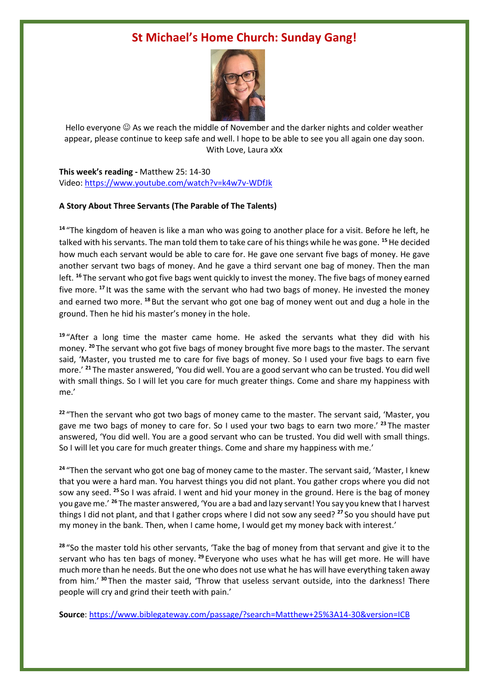### **St Michael's Home Church: Sunday Gang!**



Hello everyone  $\circledcirc$  As we reach the middle of November and the darker nights and colder weather appear, please continue to keep safe and well. I hope to be able to see you all again one day soon. With Love, Laura xXx

**This week's reading -** Matthew 25: 14-30 Video:<https://www.youtube.com/watch?v=k4w7v-WDfJk>

#### **A Story About Three Servants (The Parable of The Talents)**

**<sup>14</sup>** "The kingdom of heaven is like a man who was going to another place for a visit. Before he left, he talked with his servants. The man told them to take care of his things while he was gone. **<sup>15</sup>**He decided how much each servant would be able to care for. He gave one servant five bags of money. He gave another servant two bags of money. And he gave a third servant one bag of money. Then the man left. **<sup>16</sup>** The servant who got five bags went quickly to invest the money. The five bags of money earned five more. **<sup>17</sup>** It was the same with the servant who had two bags of money. He invested the money and earned two more. **<sup>18</sup>** But the servant who got one bag of money went out and dug a hole in the ground. Then he hid his master's money in the hole.

**<sup>19</sup>** "After a long time the master came home. He asked the servants what they did with his money. **<sup>20</sup>** The servant who got five bags of money brought five more bags to the master. The servant said, 'Master, you trusted me to care for five bags of money. So I used your five bags to earn five more.' **<sup>21</sup>** The master answered, 'You did well. You are a good servant who can be trusted. You did well with small things. So I will let you care for much greater things. Come and share my happiness with me.'

<sup>22</sup> "Then the servant who got two bags of money came to the master. The servant said, 'Master, you gave me two bags of money to care for. So I used your two bags to earn two more.' **<sup>23</sup>** The master answered, 'You did well. You are a good servant who can be trusted. You did well with small things. So I will let you care for much greater things. Come and share my happiness with me.'

**<sup>24</sup>** "Then the servant who got one bag of money came to the master. The servant said, 'Master, I knew that you were a hard man. You harvest things you did not plant. You gather crops where you did not sow any seed. **<sup>25</sup>** So I was afraid. I went and hid your money in the ground. Here is the bag of money you gave me.' **<sup>26</sup>** The master answered, 'You are a bad and lazy servant! You say you knew that I harvest things I did not plant, and that I gather crops where I did not sow any seed? **<sup>27</sup>** So you should have put my money in the bank. Then, when I came home, I would get my money back with interest.'

**<sup>28</sup>** "So the master told his other servants, 'Take the bag of money from that servant and give it to the servant who has ten bags of money. **<sup>29</sup>** Everyone who uses what he has will get more. He will have much more than he needs. But the one who does not use what he has will have everything taken away from him.' **<sup>30</sup>** Then the master said, 'Throw that useless servant outside, into the darkness! There people will cry and grind their teeth with pain.'

**Source**[: https://www.biblegateway.com/passage/?search=Matthew+25%3A14-30&version=ICB](https://www.biblegateway.com/passage/?search=Matthew+25%3A14-30&version=ICB)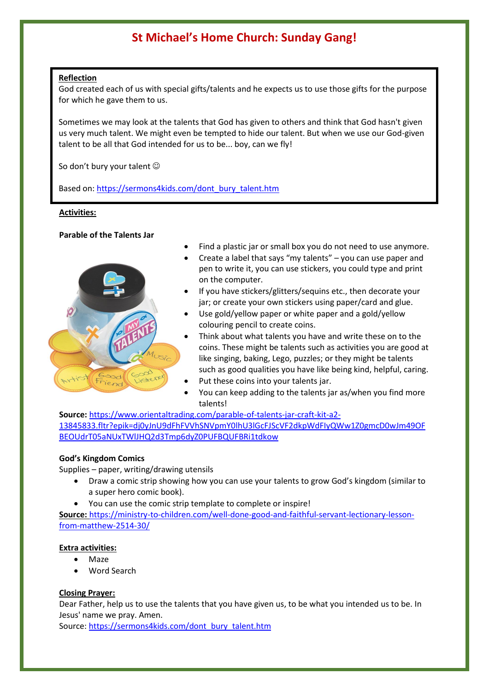## **St Michael's Home Church: Sunday Gang!**

#### **Reflection**

God created each of us with special gifts/talents and he expects us to use those gifts for the purpose for which he gave them to us.

Sometimes we may look at the talents that God has given to others and think that God hasn't given us very much talent. We might even be tempted to hide our talent. But when we use our God-given talent to be all that God intended for us to be... boy, can we fly!

So don't bury your talent  $\odot$ 

Based on: [https://sermons4kids.com/dont\\_bury\\_talent.htm](https://sermons4kids.com/dont_bury_talent.htm)

#### **Activities:**

#### **Parable of the Talents Jar**



- Find a plastic jar or small box you do not need to use anymore.
- Create a label that says "my talents" you can use paper and pen to write it, you can use stickers, you could type and print on the computer.
- If you have stickers/glitters/sequins etc., then decorate your jar; or create your own stickers using paper/card and glue.
- Use gold/yellow paper or white paper and a gold/yellow colouring pencil to create coins.
- Think about what talents you have and write these on to the coins. These might be talents such as activities you are good at like singing, baking, Lego, puzzles; or they might be talents such as good qualities you have like being kind, helpful, caring.
- Put these coins into your talents jar.
- You can keep adding to the talents jar as/when you find more talents!

**Source:** [https://www.orientaltrading.com/parable-of-talents-jar-craft-kit-a2-](https://www.orientaltrading.com/parable-of-talents-jar-craft-kit-a2-13845833.fltr?epik=dj0yJnU9dFhFVVhSNVpmY0lhU3lGcFJScVF2dkpWdFIyQWw1Z0gmcD0wJm49OFBEOUdrT05aNUxTWlJHQ2d3Tmp6dyZ0PUFBQUFBRi1tdkow) [13845833.fltr?epik=dj0yJnU9dFhFVVhSNVpmY0lhU3lGcFJScVF2dkpWdFIyQWw1Z0gmcD0wJm49OF](https://www.orientaltrading.com/parable-of-talents-jar-craft-kit-a2-13845833.fltr?epik=dj0yJnU9dFhFVVhSNVpmY0lhU3lGcFJScVF2dkpWdFIyQWw1Z0gmcD0wJm49OFBEOUdrT05aNUxTWlJHQ2d3Tmp6dyZ0PUFBQUFBRi1tdkow) [BEOUdrT05aNUxTWlJHQ2d3Tmp6dyZ0PUFBQUFBRi1tdkow](https://www.orientaltrading.com/parable-of-talents-jar-craft-kit-a2-13845833.fltr?epik=dj0yJnU9dFhFVVhSNVpmY0lhU3lGcFJScVF2dkpWdFIyQWw1Z0gmcD0wJm49OFBEOUdrT05aNUxTWlJHQ2d3Tmp6dyZ0PUFBQUFBRi1tdkow)

#### **God's Kingdom Comics**

Supplies – paper, writing/drawing utensils

- Draw a comic strip showing how you can use your talents to grow God's kingdom (similar to a super hero comic book).
- You can use the comic strip template to complete or inspire!

**Source:** [https://ministry-to-children.com/well-done-good-and-faithful-servant-lectionary-lesson](https://ministry-to-children.com/well-done-good-and-faithful-servant-lectionary-lesson-from-matthew-2514-30/)[from-matthew-2514-30/](https://ministry-to-children.com/well-done-good-and-faithful-servant-lectionary-lesson-from-matthew-2514-30/)

#### **Extra activities:**

- Maze
- Word Search

#### **Closing Prayer:**

Dear Father, help us to use the talents that you have given us, to be what you intended us to be. In Jesus' name we pray. Amen.

Source: [https://sermons4kids.com/dont\\_bury\\_talent.htm](https://sermons4kids.com/dont_bury_talent.htm)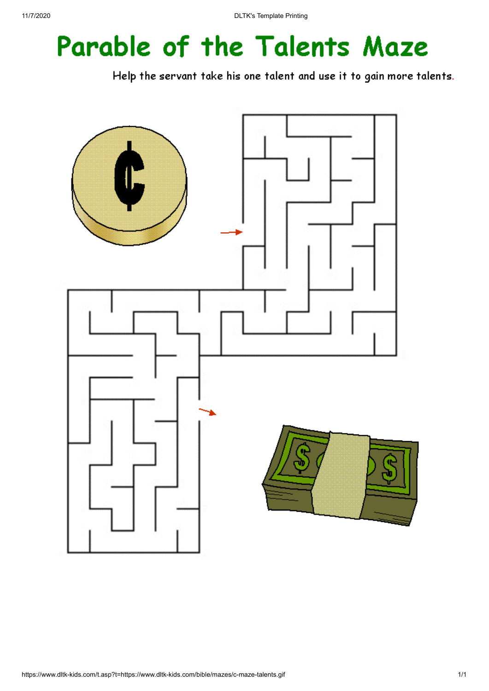# Parable of the Talents Maze

Help the servant take his one talent and use it to gain more talents.

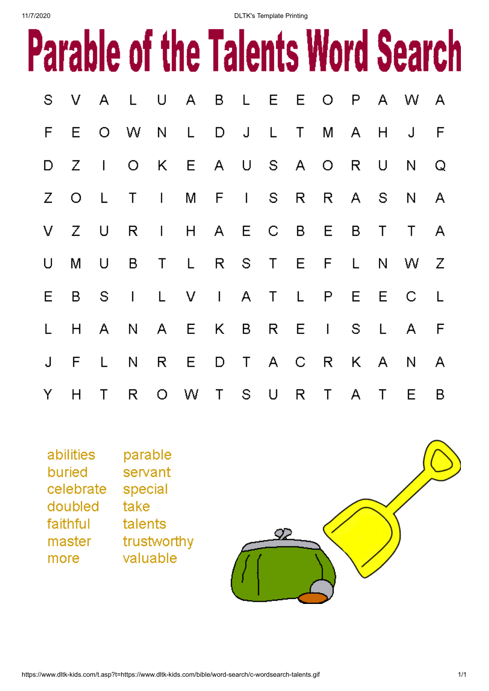11/7/2020 DLTK's Template Printing

# **Parable of the Talents Word Search**

|   |  |  |  |  |  |  | S V A L U A B L E E O P A W A |  |
|---|--|--|--|--|--|--|-------------------------------|--|
| F |  |  |  |  |  |  | E O W N L D J L T M A H J F   |  |
|   |  |  |  |  |  |  | D Z I O K E A U S A O R U N Q |  |
|   |  |  |  |  |  |  | Z O L T I M F I S R R A S N A |  |
|   |  |  |  |  |  |  | V Z U R I H A E C B E B T T A |  |
|   |  |  |  |  |  |  | U M U B T L R S T E F L N W Z |  |
|   |  |  |  |  |  |  | E B S I L V I A T L P E E C L |  |
|   |  |  |  |  |  |  | L H A N A E K B R E I S L A F |  |
|   |  |  |  |  |  |  | J F L N R E D T A C R K A N A |  |
|   |  |  |  |  |  |  | Y H T R O W T S U R T A T E B |  |

abilities parable buried servant celebrate special take doubled faithful talents trustworthy master valuable more

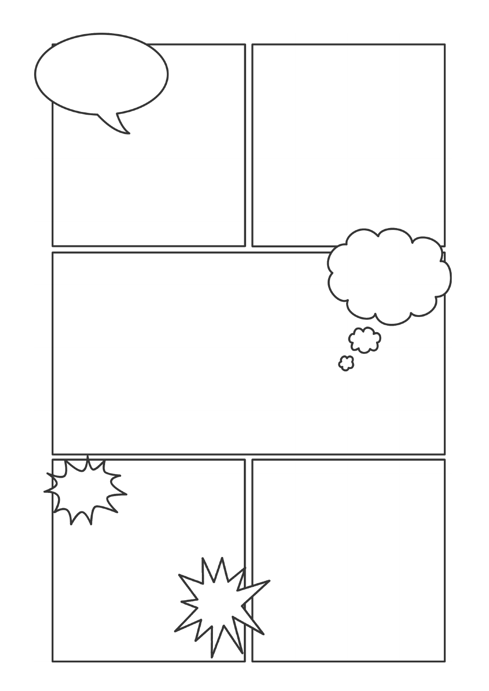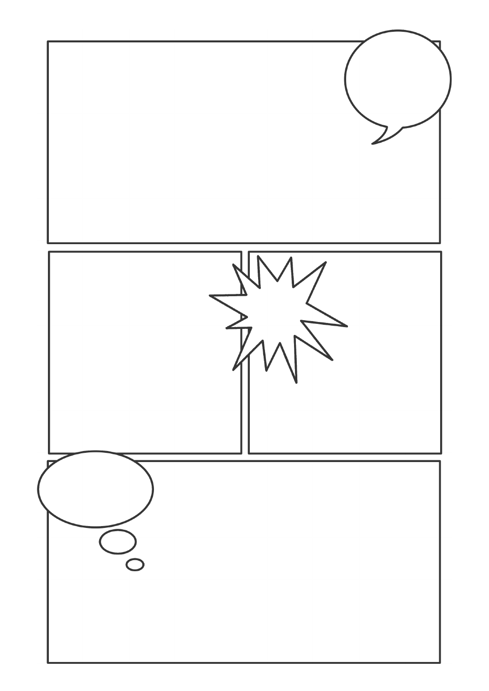